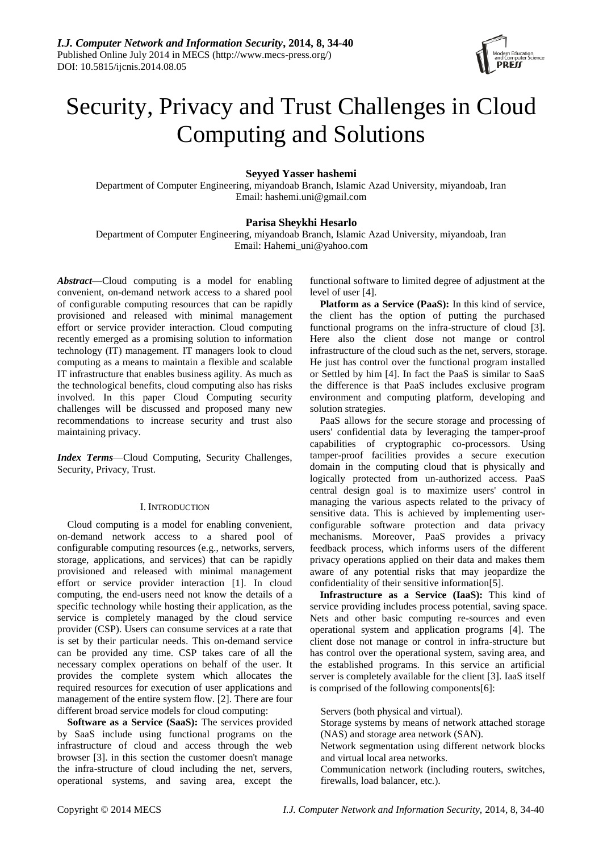

# Security, Privacy and Trust Challenges in Cloud Computing and Solutions

# **Seyyed Yasser hashemi**

Department of Computer Engineering, miyandoab Branch, Islamic Azad University, miyandoab, Iran Email: hashemi.uni@gmail.com

# **Parisa Sheykhi Hesarlo**

Department of Computer Engineering, miyandoab Branch, Islamic Azad University, miyandoab, Iran Email: Hahemi\_uni@yahoo.com

*Abstract*—Cloud computing is a model for enabling convenient, on-demand network access to a shared pool of configurable computing resources that can be rapidly provisioned and released with minimal management effort or service provider interaction. Cloud computing recently emerged as a promising solution to information technology (IT) management. IT managers look to cloud computing as a means to maintain a flexible and scalable IT infrastructure that enables business agility. As much as the technological benefits, cloud computing also has risks involved. In this paper Cloud Computing security challenges will be discussed and proposed many new recommendations to increase security and trust also maintaining privacy.

*Index Terms*—Cloud Computing, Security Challenges, Security, Privacy, Trust.

# I. INTRODUCTION

Cloud computing is a model for enabling convenient, on-demand network access to a shared pool of configurable computing resources (e.g., networks, servers, storage, applications, and services) that can be rapidly provisioned and released with minimal management effort or service provider interaction [1]. In cloud computing, the end-users need not know the details of a specific technology while hosting their application, as the service is completely managed by the cloud service provider (CSP). Users can consume services at a rate that is set by their particular needs. This on-demand service can be provided any time. CSP takes care of all the necessary complex operations on behalf of the user. It provides the complete system which allocates the required resources for execution of user applications and management of the entire system flow. [2]. There are four different broad service models for cloud computing:

**Software as a Service (SaaS):** The services provided by SaaS include using functional programs on the infrastructure of cloud and access through the web browser [3]. in this section the customer doesn't manage the infra-structure of cloud including the net, servers, operational systems, and saving area, except the functional software to limited degree of adjustment at the level of user [4].

**Platform as a Service (PaaS):** In this kind of service, the client has the option of putting the purchased functional programs on the infra-structure of cloud [3]. Here also the client dose not mange or control infrastructure of the cloud such as the net, servers, storage. He just has control over the functional program installed or Settled by him [4]. In fact the PaaS is similar to SaaS the difference is that PaaS includes exclusive program environment and computing platform, developing and solution strategies.

PaaS allows for the secure storage and processing of users' confidential data by leveraging the tamper-proof capabilities of cryptographic co-processors. Using tamper-proof facilities provides a secure execution domain in the computing cloud that is physically and logically protected from un-authorized access. PaaS central design goal is to maximize users' control in managing the various aspects related to the privacy of sensitive data. This is achieved by implementing userconfigurable software protection and data privacy mechanisms. Moreover, PaaS provides a privacy feedback process, which informs users of the different privacy operations applied on their data and makes them aware of any potential risks that may jeopardize the confidentiality of their sensitive information[5].

**Infrastructure as a Service (IaaS):** This kind of service providing includes process potential, saving space. Nets and other basic computing re-sources and even operational system and application programs [4]. The client dose not manage or control in infra-structure but has control over the operational system, saving area, and the established programs. In this service an artificial server is completely available for the client [3]. IaaS itself is comprised of the following components[6]:

Servers (both physical and virtual).

- Storage systems by means of network attached storage (NAS) and storage area network (SAN).
- Network segmentation using different network blocks and virtual local area networks.

Communication network (including routers, switches, firewalls, load balancer, etc.).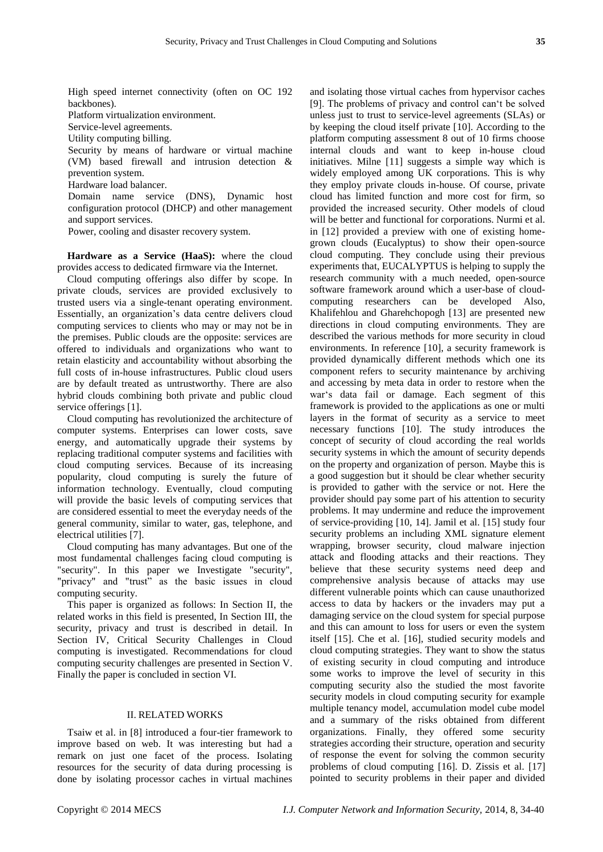High speed internet connectivity (often on OC 192 backbones).

Platform virtualization environment.

Service-level agreements.

Utility computing billing.

Security by means of hardware or virtual machine (VM) based firewall and intrusion detection & prevention system.

Hardware load balancer.

Domain name service (DNS), Dynamic host configuration protocol (DHCP) and other management and support services.

Power, cooling and disaster recovery system.

**Hardware as a Service (HaaS):** where the cloud provides access to dedicated firmware via the Internet.

Cloud computing offerings also differ by scope. In private clouds, services are provided exclusively to trusted users via a single-tenant operating environment. Essentially, an organization's data centre delivers cloud computing services to clients who may or may not be in the premises. Public clouds are the opposite: services are offered to individuals and organizations who want to retain elasticity and accountability without absorbing the full costs of in-house infrastructures. Public cloud users are by default treated as untrustworthy. There are also hybrid clouds combining both private and public cloud service offerings [1].

Cloud computing has revolutionized the architecture of computer systems. Enterprises can lower costs, save energy, and automatically upgrade their systems by replacing traditional computer systems and facilities with cloud computing services. Because of its increasing popularity, cloud computing is surely the future of information technology. Eventually, cloud computing will provide the basic levels of computing services that are considered essential to meet the everyday needs of the general community, similar to water, gas, telephone, and electrical utilities [7].

Cloud computing has many advantages. But one of the most fundamental challenges facing cloud computing is "security". In this paper we Investigate "security", "privacy" and "trust" as the basic issues in cloud computing security.

This paper is organized as follows: In Section II, the related works in this field is presented, In Section III, the security, privacy and trust is described in detail. In Section IV, Critical Security Challenges in Cloud computing is investigated. Recommendations for cloud computing security challenges are presented in Section V. Finally the paper is concluded in section VI.

# II. RELATED WORKS

Tsaiw et al. in [8] introduced a four-tier framework to improve based on web. It was interesting but had a remark on just one facet of the process. Isolating resources for the security of data during processing is done by isolating processor caches in virtual machines and isolating those virtual caches from hypervisor caches [9]. The problems of privacy and control can't be solved unless just to trust to service-level agreements (SLAs) or by keeping the cloud itself private [10]. According to the platform computing assessment 8 out of 10 firms choose internal clouds and want to keep in-house cloud initiatives. Milne [11] suggests a simple way which is widely employed among UK corporations. This is why they employ private clouds in-house. Of course, private cloud has limited function and more cost for firm, so provided the increased security. Other models of cloud will be better and functional for corporations. Nurmi et al. in [12] provided a preview with one of existing homegrown clouds (Eucalyptus) to show their open-source cloud computing. They conclude using their previous experiments that, EUCALYPTUS is helping to supply the research community with a much needed, open-source software framework around which a user-base of cloudcomputing researchers can be developed Also, Khalifehlou and Gharehchopogh [13] are presented new directions in cloud computing environments. They are described the various methods for more security in cloud environments. In reference [10], a security framework is provided dynamically different methods which one its component refers to security maintenance by archiving and accessing by meta data in order to restore when the war's data fail or damage. Each segment of this framework is provided to the applications as one or multi layers in the format of security as a service to meet necessary functions [10]. The study introduces the concept of security of cloud according the real worlds security systems in which the amount of security depends on the property and organization of person. Maybe this is a good suggestion but it should be clear whether security is provided to gather with the service or not. Here the provider should pay some part of his attention to security problems. It may undermine and reduce the improvement of service-providing [10, 14]. Jamil et al. [15] study four security problems an including XML signature element wrapping, browser security, cloud malware injection attack and flooding attacks and their reactions. They believe that these security systems need deep and comprehensive analysis because of attacks may use different vulnerable points which can cause unauthorized access to data by hackers or the invaders may put a damaging service on the cloud system for special purpose and this can amount to loss for users or even the system itself [15]. Che et al. [16], studied security models and cloud computing strategies. They want to show the status of existing security in cloud computing and introduce some works to improve the level of security in this computing security also the studied the most favorite security models in cloud computing security for example multiple tenancy model, accumulation model cube model and a summary of the risks obtained from different organizations. Finally, they offered some security strategies according their structure, operation and security of response the event for solving the common security problems of cloud computing [16]. D. Zissis et al. [17] pointed to security problems in their paper and divided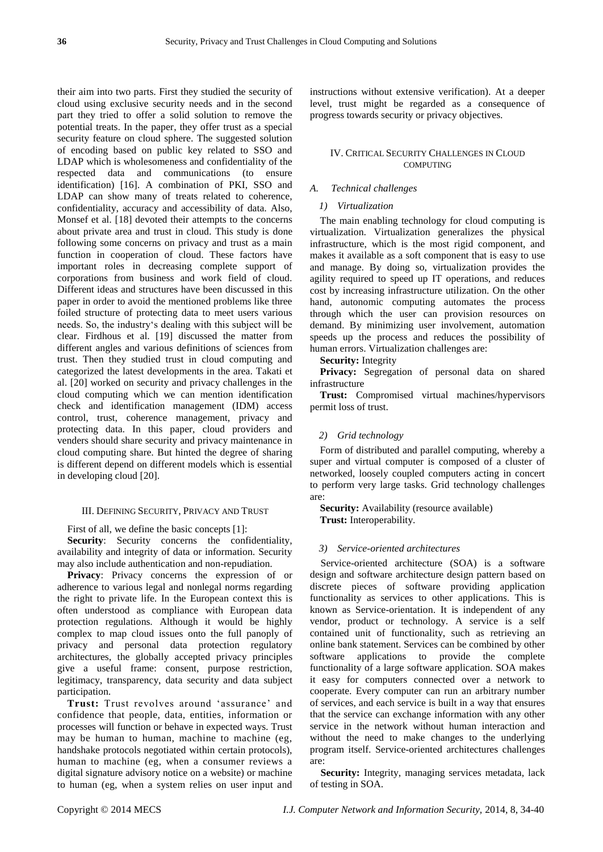their aim into two parts. First they studied the security of cloud using exclusive security needs and in the second part they tried to offer a solid solution to remove the potential treats. In the paper, they offer trust as a special security feature on cloud sphere. The suggested solution of encoding based on public key related to SSO and LDAP which is wholesomeness and confidentiality of the respected data and communications (to ensure identification) [16]. A combination of PKI, SSO and LDAP can show many of treats related to coherence, confidentiality, accuracy and accessibility of data. Also, Monsef et al. [18] devoted their attempts to the concerns about private area and trust in cloud. This study is done following some concerns on privacy and trust as a main function in cooperation of cloud. These factors have important roles in decreasing complete support of corporations from business and work field of cloud. Different ideas and structures have been discussed in this paper in order to avoid the mentioned problems like three foiled structure of protecting data to meet users various needs. So, the industry's dealing with this subject will be clear. Firdhous et al. [19] discussed the matter from different angles and various definitions of sciences from trust. Then they studied trust in cloud computing and categorized the latest developments in the area. Takati et al. [20] worked on security and privacy challenges in the cloud computing which we can mention identification check and identification management (IDM) access control, trust, coherence management, privacy and protecting data. In this paper, cloud providers and venders should share security and privacy maintenance in cloud computing share. But hinted the degree of sharing is different depend on different models which is essential in developing cloud [20].

# III. DEFINING SECURITY, PRIVACY AND TRUST

First of all, we define the basic concepts [1]:

**Security**: Security concerns the confidentiality, availability and integrity of data or information. Security may also include authentication and non-repudiation.

**Privacy**: Privacy concerns the expression of or adherence to various legal and nonlegal norms regarding the right to private life. In the European context this is often understood as compliance with European data protection regulations. Although it would be highly complex to map cloud issues onto the full panoply of privacy and personal data protection regulatory architectures, the globally accepted privacy principles give a useful frame: consent, purpose restriction, legitimacy, transparency, data security and data subject participation.

Trust: Trust revolves around 'assurance' and confidence that people, data, entities, information or processes will function or behave in expected ways. Trust may be human to human, machine to machine (eg, handshake protocols negotiated within certain protocols), human to machine (eg, when a consumer reviews a digital signature advisory notice on a website) or machine to human (eg, when a system relies on user input and instructions without extensive verification). At a deeper level, trust might be regarded as a consequence of progress towards security or privacy objectives.

# IV. CRITICAL SECURITY CHALLENGES IN CLOUD **COMPUTING**

# *A. Technical challenges*

# *1) Virtualization*

The main enabling technology for cloud computing is virtualization. Virtualization generalizes the physical infrastructure, which is the most rigid component, and makes it available as a soft component that is easy to use and manage. By doing so, virtualization provides the agility required to speed up IT operations, and reduces cost by increasing infrastructure utilization. On the other hand, autonomic computing automates the process through which the user can provision resources on demand. By minimizing user involvement, automation speeds up the process and reduces the possibility of human errors. Virtualization challenges are:

**Security:** Integrity

**Privacy:** Segregation of personal data on shared infrastructure

**Trust:** Compromised virtual machines/hypervisors permit loss of trust.

# *2) Grid technology*

Form of distributed and parallel computing, whereby a super and virtual computer is composed of a cluster of networked, loosely coupled computers acting in concert to perform very large tasks. Grid technology challenges are:

**Security:** Availability (resource available) **Trust:** Interoperability.

# *3) Service-oriented architectures*

Service-oriented architecture (SOA) is a software design and software architecture design pattern based on discrete pieces of software providing application functionality as services to other applications. This is known as Service-orientation. It is independent of any vendor, product or technology. A service is a self contained unit of functionality, such as retrieving an online bank statement. Services can be combined by other software applications to provide the complete functionality of a large software application. SOA makes it easy for computers connected over a network to cooperate. Every computer can run an arbitrary number of services, and each service is built in a way that ensures that the service can exchange information with any other service in the network without human interaction and without the need to make changes to the underlying program itself. Service-oriented architectures challenges are:

**Security:** Integrity, managing services metadata, lack of testing in SOA.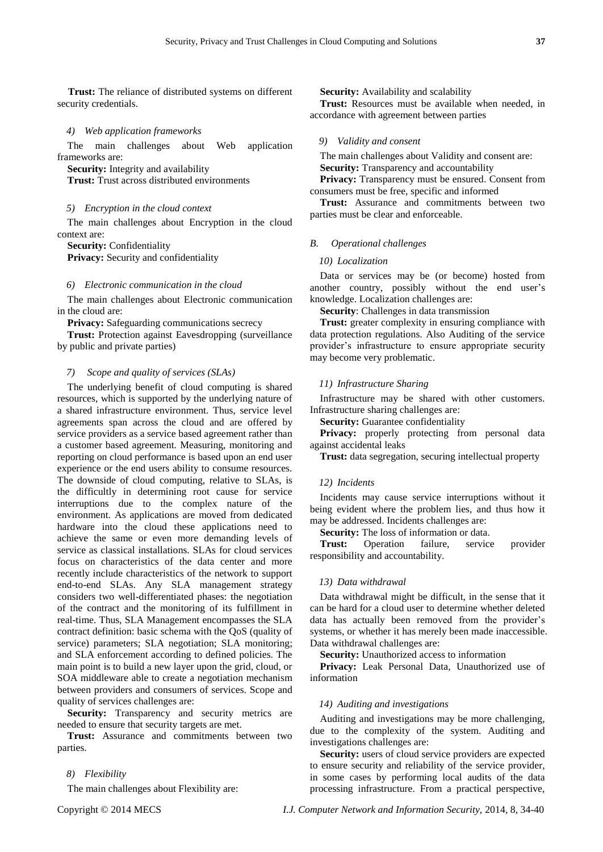**Trust:** The reliance of distributed systems on different security credentials.

*4) Web application frameworks*

The main challenges about Web application frameworks are:

**Security:** Integrity and availability

**Trust:** Trust across distributed environments

# *5) Encryption in the cloud context*

The main challenges about Encryption in the cloud context are:

**Security:** Confidentiality **Privacy:** Security and confidentiality

#### *6) Electronic communication in the cloud*

The main challenges about Electronic communication in the cloud are:

**Privacy:** Safeguarding communications secrecy

**Trust:** Protection against Eavesdropping (surveillance by public and private parties)

# *7) Scope and quality of services (SLAs)*

The underlying benefit of cloud computing is shared resources, which is supported by the underlying nature of a shared infrastructure environment. Thus, service level agreements span across the cloud and are offered by service providers as a service based agreement rather than a customer based agreement. Measuring, monitoring and reporting on cloud performance is based upon an end user experience or the end users ability to consume resources. The downside of cloud computing, relative to SLAs, is the difficultly in determining root cause for service interruptions due to the complex nature of the environment. As applications are moved from dedicated hardware into the cloud these applications need to achieve the same or even more demanding levels of service as classical installations. SLAs for cloud services focus on characteristics of the data center and more recently include characteristics of the network to support end-to-end SLAs. Any SLA management strategy considers two well-differentiated phases: the negotiation of the contract and the monitoring of its fulfillment in real-time. Thus, SLA Management encompasses the SLA contract definition: basic schema with the QoS (quality of service) parameters; SLA negotiation; SLA monitoring; and SLA enforcement according to defined policies. The main point is to build a new layer upon the grid, cloud, or SOA middleware able to create a negotiation mechanism between providers and consumers of services. Scope and quality of services challenges are:

Security: Transparency and security metrics are needed to ensure that security targets are met.

**Trust:** Assurance and commitments between two parties.

#### *8) Flexibility*

The main challenges about Flexibility are:

# **Security:** Availability and scalability

**Trust:** Resources must be available when needed, in accordance with agreement between parties

# *9) Validity and consent*

The main challenges about Validity and consent are: **Security:** Transparency and accountability

**Privacy:** Transparency must be ensured. Consent from consumers must be free, specific and informed

**Trust:** Assurance and commitments between two parties must be clear and enforceable.

# *B. Operational challenges*

# *10) Localization*

Data or services may be (or become) hosted from another country, possibly without the end user's knowledge. Localization challenges are:

**Security**: Challenges in data transmission

**Trust:** greater complexity in ensuring compliance with data protection regulations. Also Auditing of the service provider's infrastructure to ensure appropriate security may become very problematic.

# *11) Infrastructure Sharing*

Infrastructure may be shared with other customers. Infrastructure sharing challenges are:

**Security:** Guarantee confidentiality

**Privacy:** properly protecting from personal data against accidental leaks

**Trust:** data segregation, securing intellectual property

# *12) Incidents*

Incidents may cause service interruptions without it being evident where the problem lies, and thus how it may be addressed. Incidents challenges are:

**Security:** The loss of information or data.

**Trust:** Operation failure, service provider responsibility and accountability.

# *13) Data withdrawal*

Data withdrawal might be difficult, in the sense that it can be hard for a cloud user to determine whether deleted data has actually been removed from the provider's systems, or whether it has merely been made inaccessible. Data withdrawal challenges are:

**Security:** Unauthorized access to information

**Privacy:** Leak Personal Data, Unauthorized use of information

# *14) Auditing and investigations*

Auditing and investigations may be more challenging, due to the complexity of the system. Auditing and investigations challenges are:

**Security:** users of cloud service providers are expected to ensure security and reliability of the service provider, in some cases by performing local audits of the data processing infrastructure. From a practical perspective,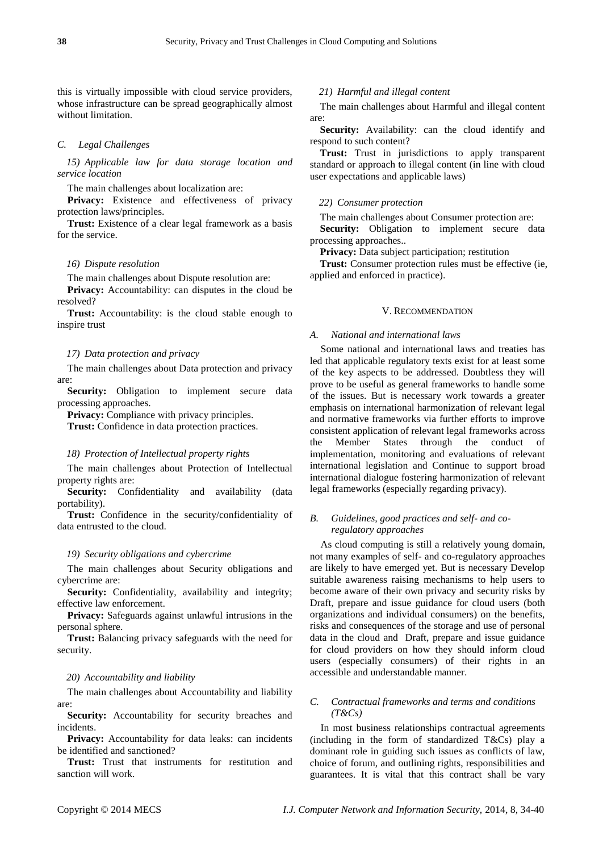this is virtually impossible with cloud service providers, whose infrastructure can be spread geographically almost without limitation.

# *C. Legal Challenges*

*15) Applicable law for data storage location and service location*

The main challenges about localization are:

Privacy: Existence and effectiveness of privacy protection laws/principles.

**Trust:** Existence of a clear legal framework as a basis for the service.

# *16) Dispute resolution*

The main challenges about Dispute resolution are:

**Privacy:** Accountability: can disputes in the cloud be resolved?

**Trust:** Accountability: is the cloud stable enough to inspire trust

#### *17) Data protection and privacy*

The main challenges about Data protection and privacy are:

**Security:** Obligation to implement secure data processing approaches.

**Privacy:** Compliance with privacy principles.

**Trust:** Confidence in data protection practices.

#### *18) Protection of Intellectual property rights*

The main challenges about Protection of Intellectual property rights are:

Security: Confidentiality and availability (data portability).

**Trust:** Confidence in the security/confidentiality of data entrusted to the cloud.

# *19) Security obligations and cybercrime*

The main challenges about Security obligations and cybercrime are:

Security: Confidentiality, availability and integrity; effective law enforcement.

**Privacy:** Safeguards against unlawful intrusions in the personal sphere.

**Trust:** Balancing privacy safeguards with the need for security.

#### *20) Accountability and liability*

The main challenges about Accountability and liability are:

Security: Accountability for security breaches and incidents.

Privacy: Accountability for data leaks: can incidents be identified and sanctioned?

**Trust:** Trust that instruments for restitution and sanction will work.

# *21) Harmful and illegal content*

The main challenges about Harmful and illegal content are:

**Security:** Availability: can the cloud identify and respond to such content?

**Trust:** Trust in jurisdictions to apply transparent standard or approach to illegal content (in line with cloud user expectations and applicable laws)

# *22) Consumer protection*

The main challenges about Consumer protection are:

**Security:** Obligation to implement secure data processing approaches..

**Privacy:** Data subject participation; restitution

**Trust:** Consumer protection rules must be effective (ie, applied and enforced in practice).

#### V. RECOMMENDATION

#### *A. National and international laws*

Some national and international laws and treaties has led that applicable regulatory texts exist for at least some of the key aspects to be addressed. Doubtless they will prove to be useful as general frameworks to handle some of the issues. But is necessary work towards a greater emphasis on international harmonization of relevant legal and normative frameworks via further efforts to improve consistent application of relevant legal frameworks across the Member States through the conduct of implementation, monitoring and evaluations of relevant international legislation and Continue to support broad international dialogue fostering harmonization of relevant legal frameworks (especially regarding privacy).

# *B. Guidelines, good practices and self- and coregulatory approaches*

As cloud computing is still a relatively young domain, not many examples of self- and co-regulatory approaches are likely to have emerged yet. But is necessary Develop suitable awareness raising mechanisms to help users to become aware of their own privacy and security risks by Draft, prepare and issue guidance for cloud users (both organizations and individual consumers) on the benefits, risks and consequences of the storage and use of personal data in the cloud and Draft, prepare and issue guidance for cloud providers on how they should inform cloud users (especially consumers) of their rights in an accessible and understandable manner.

# *C. Contractual frameworks and terms and conditions (T&Cs)*

In most business relationships contractual agreements (including in the form of standardized T&Cs) play a dominant role in guiding such issues as conflicts of law, choice of forum, and outlining rights, responsibilities and guarantees. It is vital that this contract shall be vary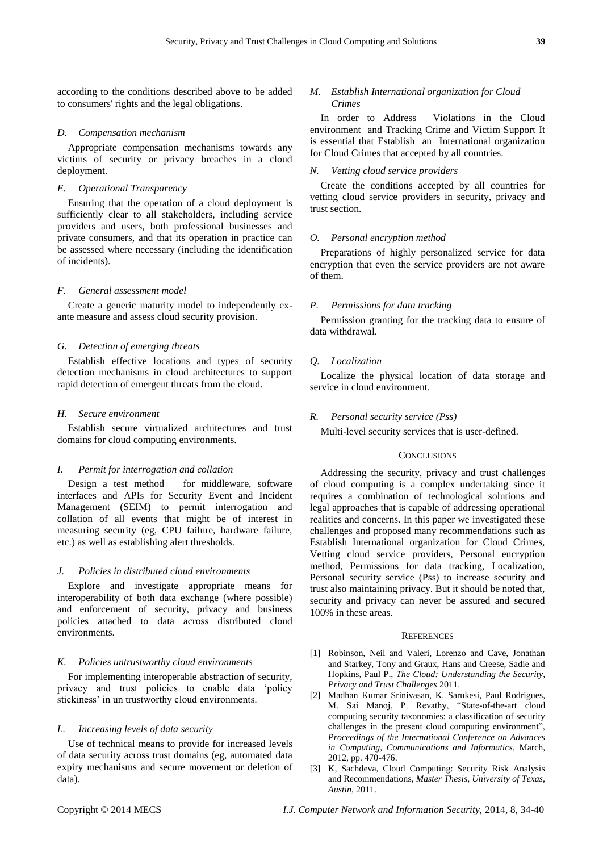according to the conditions described above to be added to consumers' rights and the legal obligations.

#### *D. Compensation mechanism*

Appropriate compensation mechanisms towards any victims of security or privacy breaches in a cloud deployment.

# *E. Operational Transparency*

Ensuring that the operation of a cloud deployment is sufficiently clear to all stakeholders, including service providers and users, both professional businesses and private consumers, and that its operation in practice can be assessed where necessary (including the identification of incidents).

#### *F. General assessment model*

Create a generic maturity model to independently exante measure and assess cloud security provision.

#### *G. Detection of emerging threats*

Establish effective locations and types of security detection mechanisms in cloud architectures to support rapid detection of emergent threats from the cloud.

#### *H. Secure environment*

Establish secure virtualized architectures and trust domains for cloud computing environments.

# *I. Permit for interrogation and collation*

Design a test method for middleware, software interfaces and APIs for Security Event and Incident Management (SEIM) to permit interrogation and collation of all events that might be of interest in measuring security (eg, CPU failure, hardware failure, etc.) as well as establishing alert thresholds.

#### *J. Policies in distributed cloud environments*

Explore and investigate appropriate means for interoperability of both data exchange (where possible) and enforcement of security, privacy and business policies attached to data across distributed cloud environments.

# *K. Policies untrustworthy cloud environments*

For implementing interoperable abstraction of security, privacy and trust policies to enable data 'policy stickiness' in un trustworthy cloud environments.

# *L. Increasing levels of data security*

Use of technical means to provide for increased levels of data security across trust domains (eg, automated data expiry mechanisms and secure movement or deletion of data).

# *M. Establish International organization for Cloud Crimes*

In order to Address Violations in the Cloud environment and Tracking Crime and Victim Support It is essential that Establish an International organization for Cloud Crimes that accepted by all countries.

# *N. Vetting cloud service providers*

Create the conditions accepted by all countries for vetting cloud service providers in security, privacy and trust section.

# *O. Personal encryption method*

Preparations of highly personalized service for data encryption that even the service providers are not aware of them.

#### *P. Permissions for data tracking*

Permission granting for the tracking data to ensure of data withdrawal.

# *Q. Localization*

Localize the physical location of data storage and service in cloud environment.

#### *R. Personal security service (Pss)*

Multi-level security services that is user-defined.

# **CONCLUSIONS**

Addressing the security, privacy and trust challenges of cloud computing is a complex undertaking since it requires a combination of technological solutions and legal approaches that is capable of addressing operational realities and concerns. In this paper we investigated these challenges and proposed many recommendations such as Establish International organization for Cloud Crimes, Vetting cloud service providers, Personal encryption method, Permissions for data tracking, Localization, Personal security service (Pss) to increase security and trust also maintaining privacy. But it should be noted that, security and privacy can never be assured and secured 100% in these areas.

#### **REFERENCES**

- [1] Robinson, Neil and Valeri, Lorenzo and Cave, Jonathan and Starkey, Tony and Graux, Hans and Creese, Sadie and Hopkins, Paul P., *The Cloud: Understanding the Security, Privacy and Trust Challenges* 2011.
- [2] Madhan Kumar Srinivasan, K. Sarukesi, Paul Rodrigues, M. Sai Manoj, P. Revathy, "State-of-the-art cloud computing security taxonomies: a classification of security challenges in the present cloud computing environment", *Proceedings of the International Conference on Advances in Computing, Communications and Informatics*, March, 2012, pp. 470-476.
- [3] K, Sachdeva, Cloud Computing: Security Risk Analysis and Recommendations, *Master Thesis, University of Texas, Austin*, 2011.